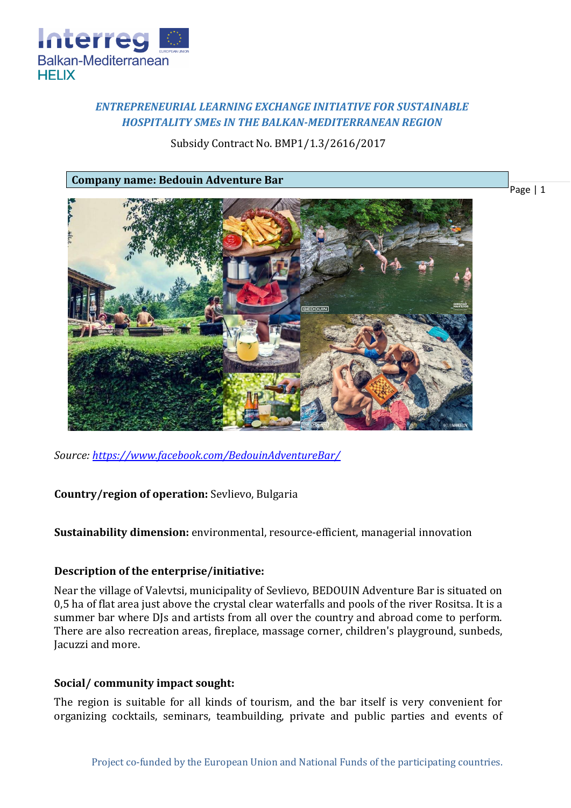

# *ENTREPRENEURIAL LEARNING EXCHANGE INITIATIVE FOR SUSTAINABLE HOSPITALITY SMEs IN THE BALKAN-MEDITERRANEAN REGION*

## Subsidy Contract No. BMP1/1.3/2616/2017

**Company name: Bedouin Adventure Bar**



*Source:<https://www.facebook.com/BedouinAdventureBar/>*

**Country/region of operation:** Sevlievo, Bulgaria

**Sustainability dimension:** environmental, resource-efficient, managerial innovation

## **Description of the enterprise/initiative:**

Near the village of Valevtsi, municipality of Sevlievo, BEDOUIN Adventure Bar is situated on 0,5 ha of flat area just above the crystal clear waterfalls and pools of the river Rositsa. It is a summer bar where DJs and artists from all over the country and abroad come to perform. There are also recreation areas, fireplace, massage corner, children's playground, sunbeds, Jacuzzi and more.

## **Social/ community impact sought:**

The region is suitable for all kinds of tourism, and the bar itself is very convenient for organizing cocktails, seminars, teambuilding, private and public parties and events of

Page | 1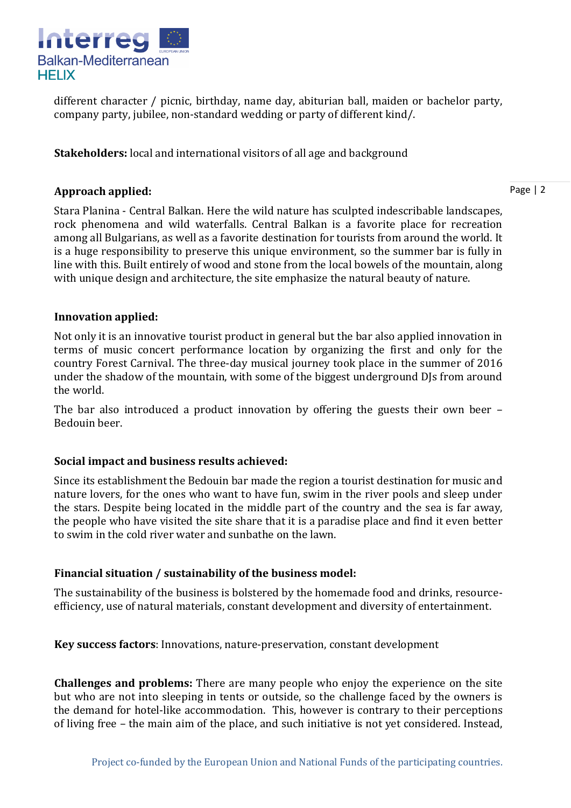

different character / picnic, birthday, name day, abiturian ball, maiden or bachelor party, company party, jubilee, non-standard wedding or party of different kind/.

**Stakeholders:** local and international visitors of all age and background

## **Approach applied:**

Stara Planina - Central Balkan. Here the wild nature has sculpted indescribable landscapes, rock phenomena and wild waterfalls. Central Balkan is a favorite place for recreation among all Bulgarians, as well as a favorite destination for tourists from around the world. It is a huge responsibility to preserve this unique environment, so the summer bar is fully in line with this. Built entirely of wood and stone from the local bowels of the mountain, along with unique design and architecture, the site emphasize the natural beauty of nature.

## **Innovation applied:**

Not only it is an innovative tourist product in general but the bar also applied innovation in terms of music concert performance location by organizing the first and only for the country Forest Carnival. The three-day musical journey took place in the summer of 2016 under the shadow of the mountain, with some of the biggest underground DJs from around the world.

The bar also introduced a product innovation by offering the guests their own beer – Bedouin beer.

## **Social impact and business results achieved:**

Since its establishment the Bedouin bar made the region a tourist destination for music and nature lovers, for the ones who want to have fun, swim in the river pools and sleep under the stars. Despite being located in the middle part of the country and the sea is far away, the people who have visited the site share that it is a paradise place and find it even better to swim in the cold river water and sunbathe on the lawn.

# **Financial situation / sustainability of the business model:**

The sustainability of the business is bolstered by the homemade food and drinks, resourceefficiency, use of natural materials, constant development and diversity of entertainment.

**Key success factors**: Innovations, nature-preservation, constant development

**Challenges and problems:** There are many people who enjoy the experience on the site but who are not into sleeping in tents or outside, so the challenge faced by the owners is the demand for hotel-like accommodation. This, however is contrary to their perceptions of living free – the main aim of the place, and such initiative is not yet considered. Instead,

Page | 2